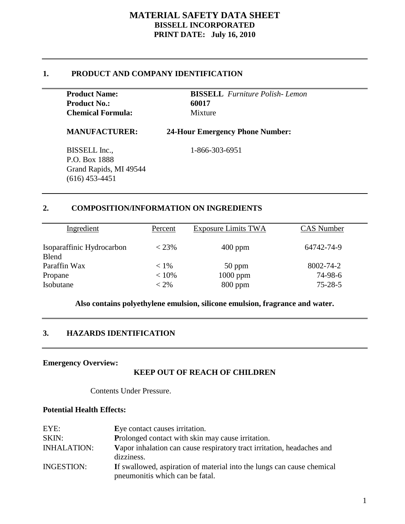## **1. PRODUCT AND COMPANY IDENTIFICATION**

| <b>Product Name:</b>     | <b>BISSELL</b> Furniture Polish-Lemon |
|--------------------------|---------------------------------------|
| <b>Product No.:</b>      | 60017                                 |
| <b>Chemical Formula:</b> | <b>Mixture</b>                        |

#### **MANUFACTURER: 24-Hour Emergency Phone Number:**

BISSELL Inc., 1-866-303-6951 P.O. Box 1888 Grand Rapids, MI 49544 (616) 453-4451

## **2. COMPOSITION/INFORMATION ON INGREDIENTS**

| Ingredient                                | Percent  | <b>Exposure Limits TWA</b> | <b>CAS</b> Number |
|-------------------------------------------|----------|----------------------------|-------------------|
| Isoparaffinic Hydrocarbon<br><b>Blend</b> | $< 23\%$ | $400$ ppm                  | 64742-74-9        |
| Paraffin Wax                              | $< 1\%$  | $50$ ppm                   | 8002-74-2         |
| Propane                                   | $< 10\%$ | $1000$ ppm                 | 74-98-6           |
| Isobutane                                 | $< 2\%$  | $800$ ppm                  | $75 - 28 - 5$     |

#### **Also contains polyethylene emulsion, silicone emulsion, fragrance and water.**

## **3. HAZARDS IDENTIFICATION**

### **Emergency Overview:**

## **KEEP OUT OF REACH OF CHILDREN**

Contents Under Pressure.

#### **Potential Health Effects:**

| EYE:               | Eye contact causes irritation.                                                       |
|--------------------|--------------------------------------------------------------------------------------|
| SKIN:              | Prolonged contact with skin may cause irritation.                                    |
| <b>INHALATION:</b> | Vapor inhalation can cause respiratory tract irritation, headaches and<br>dizziness. |
| <b>INGESTION:</b>  | If swallowed, aspiration of material into the lungs can cause chemical               |
|                    | pneumonitis which can be fatal.                                                      |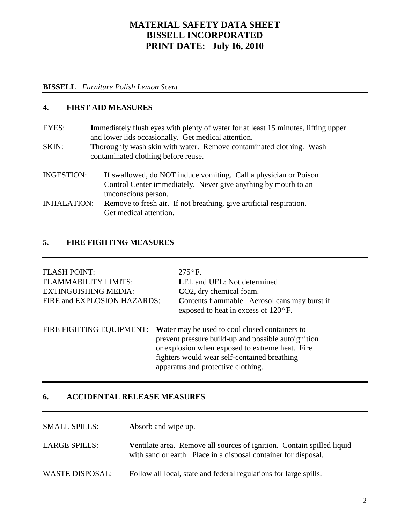#### **BISSELL** *Furniture Polish Lemon Scent*

#### **4. FIRST AID MEASURES**

| EYES:              | Immediately flush eyes with plenty of water for at least 15 minutes, lifting upper<br>and lower lids occasionally. Get medical attention.                 |  |  |
|--------------------|-----------------------------------------------------------------------------------------------------------------------------------------------------------|--|--|
| SKIN:              | Thoroughly wash skin with water. Remove contaminated clothing. Wash<br>contaminated clothing before reuse.                                                |  |  |
| <b>INGESTION:</b>  | If swallowed, do NOT induce vomiting. Call a physician or Poison<br>Control Center immediately. Never give anything by mouth to an<br>unconscious person. |  |  |
| <b>INHALATION:</b> | <b>Remove to fresh air.</b> If not breathing, give artificial respiration.<br>Get medical attention.                                                      |  |  |

## **5. FIRE FIGHTING MEASURES**

| <b>FLASH POINT:</b><br><b>FLAMMABILITY LIMITS:</b><br><b>EXTINGUISHING MEDIA:</b><br>FIRE and EXPLOSION HAZARDS: | $275^{\circ}$ F.<br><b>LEL</b> and UEL: Not determined<br>CO2, dry chemical foam.<br>Contents flammable. Aerosol cans may burst if<br>exposed to heat in excess of $120^{\circ}$ F.                                                            |
|------------------------------------------------------------------------------------------------------------------|------------------------------------------------------------------------------------------------------------------------------------------------------------------------------------------------------------------------------------------------|
| FIRE FIGHTING EQUIPMENT:                                                                                         | Water may be used to cool closed containers to<br>prevent pressure build-up and possible autoignition<br>or explosion when exposed to extreme heat. Fire<br>fighters would wear self-contained breathing<br>apparatus and protective clothing. |

## **6. ACCIDENTAL RELEASE MEASURES**

SMALL SPILLS: **Absorb** and wipe up.

LARGE SPILLS: Ventilate area. Remove all sources of ignition. Contain spilled liquid with sand or earth. Place in a disposal container for disposal.

WASTE DISPOSAL: Follow all local, state and federal regulations for large spills.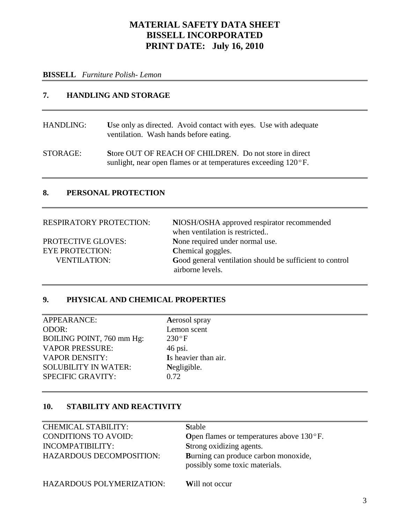#### **BISSELL** *Furniture Polish- Lemon*

## **7. HANDLING AND STORAGE**

HANDLING: **U**se only as directed. Avoid contact with eyes. Use with adequate ventilation. Wash hands before eating.

STORAGE: **S**tore OUT OF REACH OF CHILDREN. Do not store in direct sunlight, near open flames or at temperatures exceeding 120°F.

## **8. PERSONAL PROTECTION**

| <b>RESPIRATORY PROTECTION:</b> | NIOSH/OSHA approved respirator recommended<br>when ventilation is restricted |
|--------------------------------|------------------------------------------------------------------------------|
| <b>PROTECTIVE GLOVES:</b>      | None required under normal use.                                              |
| <b>EYE PROTECTION:</b>         | Chemical goggles.                                                            |
| <b>VENTILATION:</b>            | Good general ventilation should be sufficient to control<br>airborne levels. |

## **9. PHYSICAL AND CHEMICAL PROPERTIES**

APPEARANCE: **A**erosol spray ODOR: Lemon scent BOILING POINT, 760 mm Hg: 230°F VAPOR PRESSURE: 46 psi. VAPOR DENSITY: **I**s heavier than air. SOLUBILITY IN WATER: **N**egligible. SPECIFIC GRAVITY: 0.72

#### **10. STABILITY AND REACTIVITY**

| <b>CHEMICAL STABILITY:</b>       | <b>Stable</b>                                                          |
|----------------------------------|------------------------------------------------------------------------|
| <b>CONDITIONS TO AVOID:</b>      | <b>Open flames or temperatures above 130<math>^{\circ}</math>F.</b>    |
| INCOMPATIBILITY:                 | Strong oxidizing agents.                                               |
| HAZARDOUS DECOMPOSITION:         | Burning can produce carbon monoxide,<br>possibly some toxic materials. |
| <b>HAZARDOUS POLYMERIZATION:</b> | Will not occur                                                         |